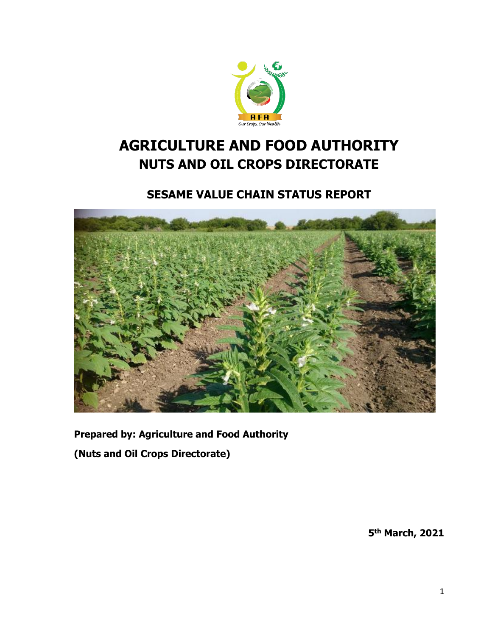

# **AGRICULTURE AND FOOD AUTHORITY NUTS AND OIL CROPS DIRECTORATE**

# **SESAME VALUE CHAIN STATUS REPORT**



**Prepared by: Agriculture and Food Authority**

**(Nuts and Oil Crops Directorate)**

**5 th March, 2021**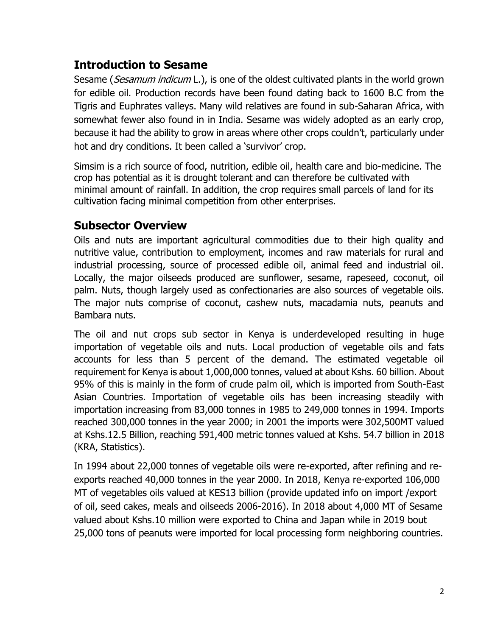# **Introduction to Sesame**

Sesame (Sesamum indicum L.), is one of the oldest cultivated plants in the world grown for edible oil. Production records have been found dating back to 1600 B.C from the Tigris and Euphrates valleys. Many wild relatives are found in sub-Saharan Africa, with somewhat fewer also found in in India. Sesame was widely adopted as an early crop, because it had the ability to grow in areas where other crops couldn't, particularly under hot and dry conditions. It been called a 'survivor' crop.

Simsim is a rich source of food, nutrition, edible oil, health care and bio-medicine. The crop has potential as it is drought tolerant and can therefore be cultivated with minimal amount of rainfall. In addition, the crop requires small parcels of land for its cultivation facing minimal competition from other enterprises.

# **Subsector Overview**

Oils and nuts are important agricultural commodities due to their high quality and nutritive value, contribution to employment, incomes and raw materials for rural and industrial processing, source of processed edible oil, animal feed and industrial oil. Locally, the major oilseeds produced are sunflower, sesame, rapeseed, coconut, oil palm. Nuts, though largely used as confectionaries are also sources of vegetable oils. The major nuts comprise of coconut, cashew nuts, macadamia nuts, peanuts and Bambara nuts.

The oil and nut crops sub sector in Kenya is underdeveloped resulting in huge importation of vegetable oils and nuts. Local production of vegetable oils and fats accounts for less than 5 percent of the demand. The estimated vegetable oil requirement for Kenya is about 1,000,000 tonnes, valued at about Kshs. 60 billion. About 95% of this is mainly in the form of crude palm oil, which is imported from South-East Asian Countries. Importation of vegetable oils has been increasing steadily with importation increasing from 83,000 tonnes in 1985 to 249,000 tonnes in 1994. Imports reached 300,000 tonnes in the year 2000; in 2001 the imports were 302,500MT valued at Kshs.12.5 Billion, reaching 591,400 metric tonnes valued at Kshs. 54.7 billion in 2018 (KRA, Statistics).

In 1994 about 22,000 tonnes of vegetable oils were re-exported, after refining and reexports reached 40,000 tonnes in the year 2000. In 2018, Kenya re-exported 106,000 MT of vegetables oils valued at KES13 billion (provide updated info on import /export of oil, seed cakes, meals and oilseeds 2006-2016). In 2018 about 4,000 MT of Sesame valued about Kshs.10 million were exported to China and Japan while in 2019 bout 25,000 tons of peanuts were imported for local processing form neighboring countries.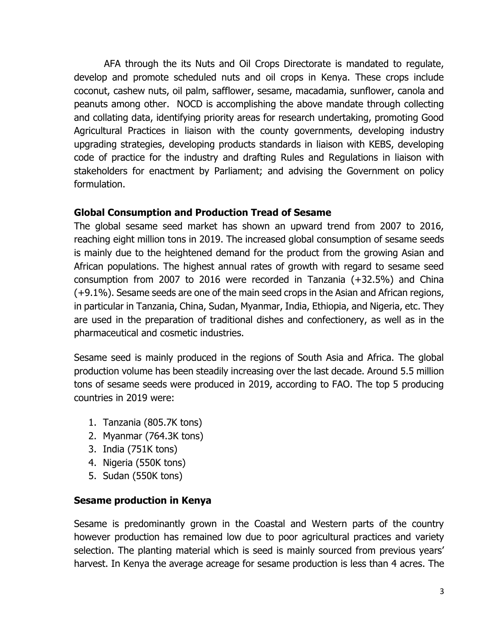AFA through the its Nuts and Oil Crops Directorate is mandated to regulate, develop and promote scheduled nuts and oil crops in Kenya. These crops include coconut, cashew nuts, oil palm, safflower, sesame, macadamia, sunflower, canola and peanuts among other. NOCD is accomplishing the above mandate through collecting and collating data, identifying priority areas for research undertaking, promoting Good Agricultural Practices in liaison with the county governments, developing industry upgrading strategies, developing products standards in liaison with KEBS, developing code of practice for the industry and drafting Rules and Regulations in liaison with stakeholders for enactment by Parliament; and advising the Government on policy formulation.

#### **Global Consumption and Production Tread of Sesame**

The global sesame seed market has shown an upward trend from 2007 to 2016, reaching eight million tons in 2019. The increased global consumption of sesame seeds is mainly due to the heightened demand for the product from the growing Asian and African populations. The highest annual rates of growth with regard to sesame seed consumption from 2007 to 2016 were recorded in Tanzania (+32.5%) and China (+9.1%). Sesame seeds are one of the main seed crops in the Asian and African regions, in particular in Tanzania, China, Sudan, Myanmar, India, Ethiopia, and Nigeria, etc. They are used in the preparation of traditional dishes and confectionery, as well as in the pharmaceutical and cosmetic industries.

Sesame seed is mainly produced in the regions of South Asia and Africa. The global production volume has been steadily increasing over the last decade. Around 5.5 million tons of sesame seeds were produced in 2019, according to FAO. The top 5 producing countries in 2019 were:

- 1. Tanzania (805.7K tons)
- 2. Myanmar (764.3K tons)
- 3. India (751K tons)
- 4. Nigeria (550K tons)
- 5. Sudan (550K tons)

#### **Sesame production in Kenya**

Sesame is predominantly grown in the Coastal and Western parts of the country however production has remained low due to poor agricultural practices and variety selection. The planting material which is seed is mainly sourced from previous years' harvest. In Kenya the average acreage for sesame production is less than 4 acres. The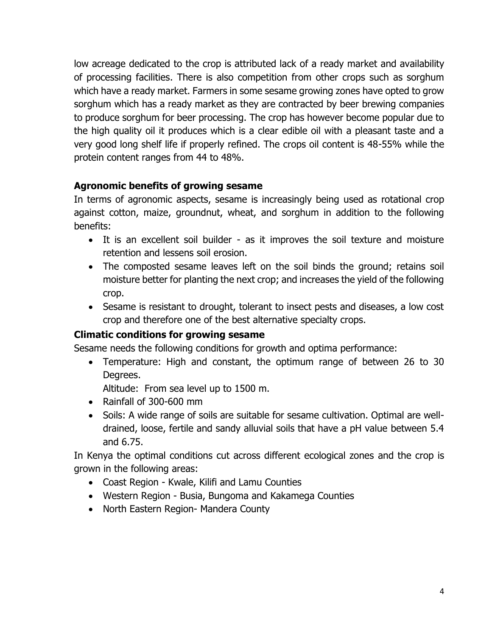low acreage dedicated to the crop is attributed lack of a ready market and availability of processing facilities. There is also competition from other crops such as sorghum which have a ready market. Farmers in some sesame growing zones have opted to grow sorghum which has a ready market as they are contracted by beer brewing companies to produce sorghum for beer processing. The crop has however become popular due to the high quality oil it produces which is a clear edible oil with a pleasant taste and a very good long shelf life if properly refined. The crops oil content is 48-55% while the protein content ranges from 44 to 48%.

# **Agronomic benefits of growing sesame**

In terms of agronomic aspects, sesame is increasingly being used as rotational crop against cotton, maize, groundnut, wheat, and sorghum in addition to the following benefits:

- It is an excellent soil builder as it improves the soil texture and moisture retention and lessens soil erosion.
- The composted sesame leaves left on the soil binds the ground; retains soil moisture better for planting the next crop; and increases the yield of the following crop.
- Sesame is resistant to drought, tolerant to insect pests and diseases, a low cost crop and therefore one of the best alternative specialty crops.

# **Climatic conditions for growing sesame**

Sesame needs the following conditions for growth and optima performance:

 Temperature: High and constant, the optimum range of between 26 to 30 Degrees.

Altitude: From sea level up to 1500 m.

- Rainfall of 300-600 mm
- Soils: A wide range of soils are suitable for sesame cultivation. Optimal are welldrained, loose, fertile and sandy alluvial soils that have a pH value between 5.4 and 6.75.

In Kenya the optimal conditions cut across different ecological zones and the crop is grown in the following areas:

- Coast Region Kwale, Kilifi and Lamu Counties
- Western Region Busia, Bungoma and Kakamega Counties
- North Eastern Region- Mandera County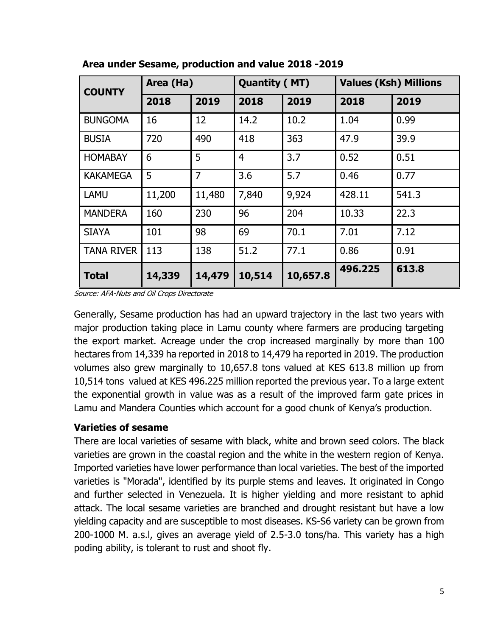| <b>COUNTY</b>     | Area (Ha) |        | <b>Quantity (MT)</b> |          | <b>Values (Ksh) Millions</b> |       |
|-------------------|-----------|--------|----------------------|----------|------------------------------|-------|
|                   | 2018      | 2019   | 2018                 | 2019     | 2018                         | 2019  |
| <b>BUNGOMA</b>    | 16        | 12     | 14.2                 | 10.2     | 1.04                         | 0.99  |
| <b>BUSIA</b>      | 720       | 490    | 418                  | 363      | 47.9                         | 39.9  |
| <b>HOMABAY</b>    | 6         | 5      | 4                    | 3.7      | 0.52                         | 0.51  |
| <b>KAKAMEGA</b>   | 5         | 7      | 3.6                  | 5.7      | 0.46                         | 0.77  |
| <b>LAMU</b>       | 11,200    | 11,480 | 7,840                | 9,924    | 428.11                       | 541.3 |
| <b>MANDERA</b>    | 160       | 230    | 96                   | 204      | 10.33                        | 22.3  |
| <b>SIAYA</b>      | 101       | 98     | 69                   | 70.1     | 7.01                         | 7.12  |
| <b>TANA RIVER</b> | 113       | 138    | 51.2                 | 77.1     | 0.86                         | 0.91  |
| <b>Total</b>      | 14,339    | 14,479 | 10,514               | 10,657.8 | 496.225                      | 613.8 |

 **Area under Sesame, production and value 2018 -2019**

Source: AFA-Nuts and Oil Crops Directorate

Generally, Sesame production has had an upward trajectory in the last two years with major production taking place in Lamu county where farmers are producing targeting the export market. Acreage under the crop increased marginally by more than 100 hectares from 14,339 ha reported in 2018 to 14,479 ha reported in 2019. The production volumes also grew marginally to 10,657.8 tons valued at KES 613.8 million up from 10,514 tons valued at KES 496.225 million reported the previous year. To a large extent the exponential growth in value was as a result of the improved farm gate prices in Lamu and Mandera Counties which account for a good chunk of Kenya's production.

#### **Varieties of sesame**

There are local varieties of sesame with black, white and brown seed colors. The black varieties are grown in the coastal region and the white in the western region of Kenya. Imported varieties have lower performance than local varieties. The best of the imported varieties is "Morada", identified by its purple stems and leaves. It originated in Congo and further selected in Venezuela. It is higher yielding and more resistant to aphid attack. The local sesame varieties are branched and drought resistant but have a low yielding capacity and are susceptible to most diseases. KS-S6 variety can be grown from 200-1000 M. a.s.l, gives an average yield of 2.5-3.0 tons/ha. This variety has a high poding ability, is tolerant to rust and shoot fly.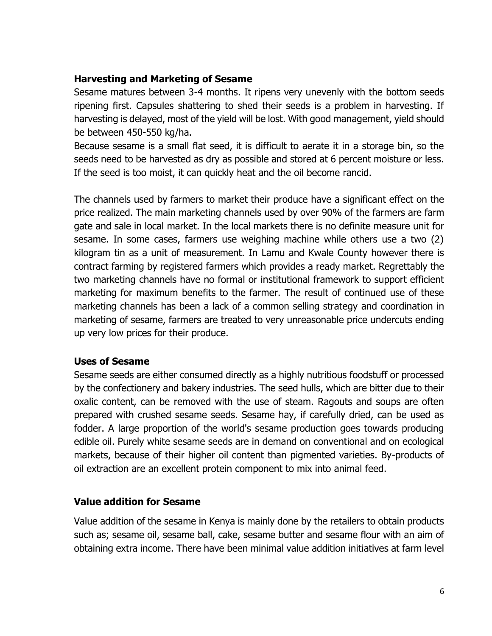#### **Harvesting and Marketing of Sesame**

Sesame matures between 3-4 months. It ripens very unevenly with the bottom seeds ripening first. Capsules shattering to shed their seeds is a problem in harvesting. If harvesting is delayed, most of the yield will be lost. With good management, yield should be between 450-550 kg/ha.

Because sesame is a small flat seed, it is difficult to aerate it in a storage bin, so the seeds need to be harvested as dry as possible and stored at 6 percent moisture or less. If the seed is too moist, it can quickly heat and the oil become rancid.

The channels used by farmers to market their produce have a significant effect on the price realized. The main marketing channels used by over 90% of the farmers are farm gate and sale in local market. In the local markets there is no definite measure unit for sesame. In some cases, farmers use weighing machine while others use a two (2) kilogram tin as a unit of measurement. In Lamu and Kwale County however there is contract farming by registered farmers which provides a ready market. Regrettably the two marketing channels have no formal or institutional framework to support efficient marketing for maximum benefits to the farmer. The result of continued use of these marketing channels has been a lack of a common selling strategy and coordination in marketing of sesame, farmers are treated to very unreasonable price undercuts ending up very low prices for their produce.

# **Uses of Sesame**

Sesame seeds are either consumed directly as a highly nutritious foodstuff or processed by the confectionery and bakery industries. The seed hulls, which are bitter due to their oxalic content, can be removed with the use of steam. Ragouts and soups are often prepared with crushed sesame seeds. Sesame hay, if carefully dried, can be used as fodder. A large proportion of the world's sesame production goes towards producing edible oil. Purely white sesame seeds are in demand on conventional and on ecological markets, because of their higher oil content than pigmented varieties. By-products of oil extraction are an excellent protein component to mix into animal feed.

# **Value addition for Sesame**

Value addition of the sesame in Kenya is mainly done by the retailers to obtain products such as; sesame oil, sesame ball, cake, sesame butter and sesame flour with an aim of obtaining extra income. There have been minimal value addition initiatives at farm level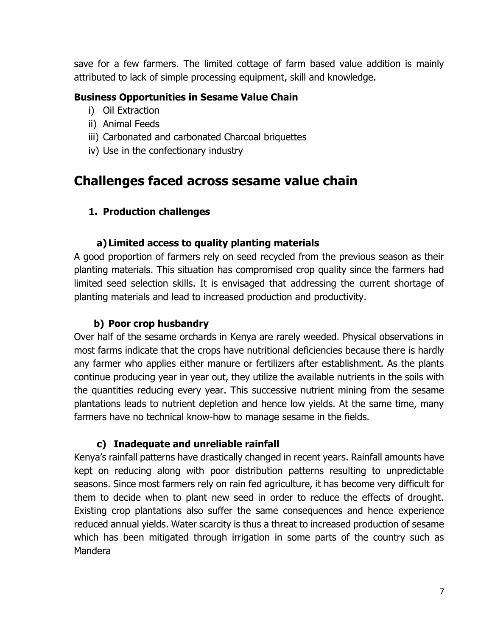save for a few farmers. The limited cottage of farm based value addition is mainly attributed to lack of simple processing equipment, skill and knowledge.

#### **Business Opportunities in Sesame Value Chain**

- i) Oil Extraction
- ii) Animal Feeds
- iii) Carbonated and carbonated Charcoal briquettes
- iv) Use in the confectionary industry

# **Challenges faced across sesame value chain**

#### **1. Production challenges**

#### **a)Limited access to quality planting materials**

A good proportion of farmers rely on seed recycled from the previous season as their planting materials. This situation has compromised crop quality since the farmers had limited seed selection skills. It is envisaged that addressing the current shortage of planting materials and lead to increased production and productivity.

#### **b) Poor crop husbandry**

Over half of the sesame orchards in Kenya are rarely weeded. Physical observations in most farms indicate that the crops have nutritional deficiencies because there is hardly any farmer who applies either manure or fertilizers after establishment. As the plants continue producing year in year out, they utilize the available nutrients in the soils with the quantities reducing every year. This successive nutrient mining from the sesame plantations leads to nutrient depletion and hence low yields. At the same time, many farmers have no technical know-how to manage sesame in the fields.

# **c) Inadequate and unreliable rainfall**

Kenya's rainfall patterns have drastically changed in recent years. Rainfall amounts have kept on reducing along with poor distribution patterns resulting to unpredictable seasons. Since most farmers rely on rain fed agriculture, it has become very difficult for them to decide when to plant new seed in order to reduce the effects of drought. Existing crop plantations also suffer the same consequences and hence experience reduced annual yields. Water scarcity is thus a threat to increased production of sesame which has been mitigated through irrigation in some parts of the country such as Mandera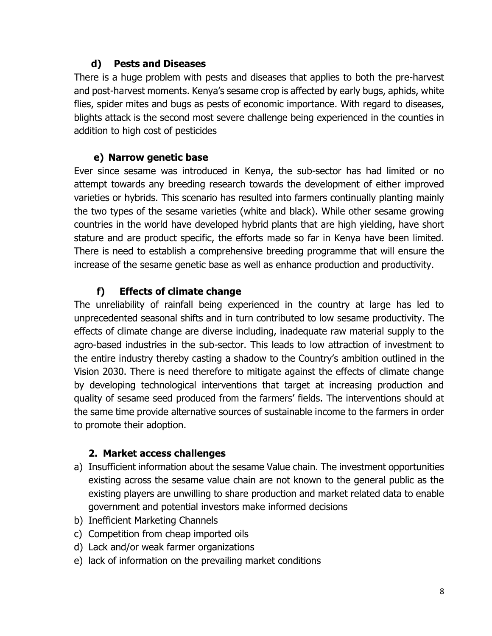# **d) Pests and Diseases**

There is a huge problem with pests and diseases that applies to both the pre-harvest and post-harvest moments. Kenya's sesame crop is affected by early bugs, aphids, white flies, spider mites and bugs as pests of economic importance. With regard to diseases, blights attack is the second most severe challenge being experienced in the counties in addition to high cost of pesticides

# **e) Narrow genetic base**

Ever since sesame was introduced in Kenya, the sub-sector has had limited or no attempt towards any breeding research towards the development of either improved varieties or hybrids. This scenario has resulted into farmers continually planting mainly the two types of the sesame varieties (white and black). While other sesame growing countries in the world have developed hybrid plants that are high yielding, have short stature and are product specific, the efforts made so far in Kenya have been limited. There is need to establish a comprehensive breeding programme that will ensure the increase of the sesame genetic base as well as enhance production and productivity.

# **f) Effects of climate change**

The unreliability of rainfall being experienced in the country at large has led to unprecedented seasonal shifts and in turn contributed to low sesame productivity. The effects of climate change are diverse including, inadequate raw material supply to the agro-based industries in the sub-sector. This leads to low attraction of investment to the entire industry thereby casting a shadow to the Country's ambition outlined in the Vision 2030. There is need therefore to mitigate against the effects of climate change by developing technological interventions that target at increasing production and quality of sesame seed produced from the farmers' fields. The interventions should at the same time provide alternative sources of sustainable income to the farmers in order to promote their adoption.

# **2. Market access challenges**

- a) Insufficient information about the sesame Value chain. The investment opportunities existing across the sesame value chain are not known to the general public as the existing players are unwilling to share production and market related data to enable government and potential investors make informed decisions
- b) Inefficient Marketing Channels
- c) Competition from cheap imported oils
- d) Lack and/or weak farmer organizations
- e) lack of information on the prevailing market conditions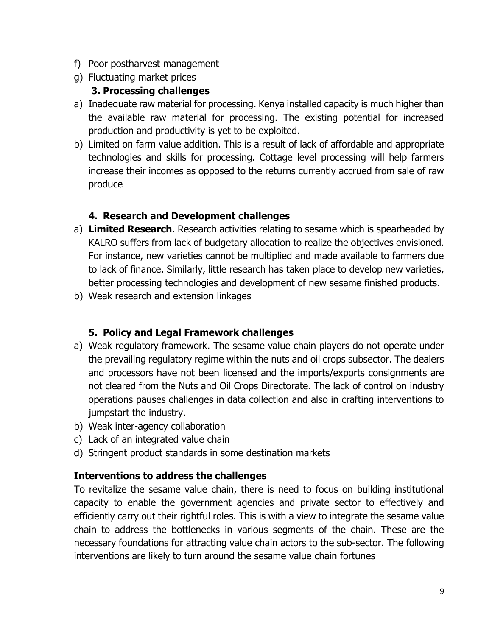- f) Poor postharvest management
- g) Fluctuating market prices

# **3. Processing challenges**

- a) Inadequate raw material for processing. Kenya installed capacity is much higher than the available raw material for processing. The existing potential for increased production and productivity is yet to be exploited.
- b) Limited on farm value addition. This is a result of lack of affordable and appropriate technologies and skills for processing. Cottage level processing will help farmers increase their incomes as opposed to the returns currently accrued from sale of raw produce

# **4. Research and Development challenges**

- a) **Limited Research**. Research activities relating to sesame which is spearheaded by KALRO suffers from lack of budgetary allocation to realize the objectives envisioned. For instance, new varieties cannot be multiplied and made available to farmers due to lack of finance. Similarly, little research has taken place to develop new varieties, better processing technologies and development of new sesame finished products.
- b) Weak research and extension linkages

# **5. Policy and Legal Framework challenges**

- a) Weak regulatory framework. The sesame value chain players do not operate under the prevailing regulatory regime within the nuts and oil crops subsector. The dealers and processors have not been licensed and the imports/exports consignments are not cleared from the Nuts and Oil Crops Directorate. The lack of control on industry operations pauses challenges in data collection and also in crafting interventions to jumpstart the industry.
- b) Weak inter-agency collaboration
- c) Lack of an integrated value chain
- d) Stringent product standards in some destination markets

# **Interventions to address the challenges**

To revitalize the sesame value chain, there is need to focus on building institutional capacity to enable the government agencies and private sector to effectively and efficiently carry out their rightful roles. This is with a view to integrate the sesame value chain to address the bottlenecks in various segments of the chain. These are the necessary foundations for attracting value chain actors to the sub-sector. The following interventions are likely to turn around the sesame value chain fortunes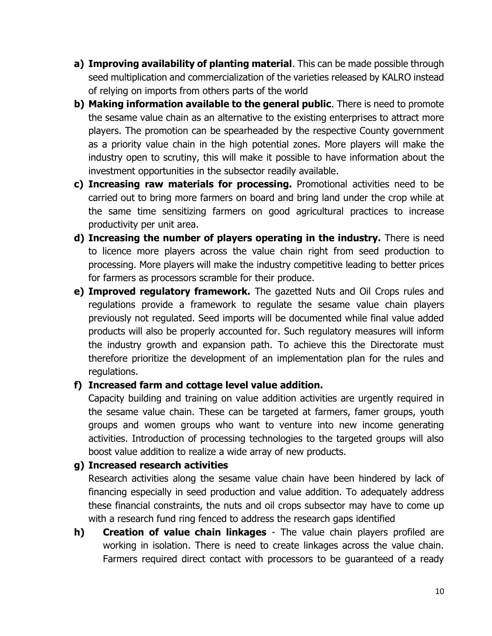- **a) Improving availability of planting material**. This can be made possible through seed multiplication and commercialization of the varieties released by KALRO instead of relying on imports from others parts of the world
- **b) Making information available to the general public**. There is need to promote the sesame value chain as an alternative to the existing enterprises to attract more players. The promotion can be spearheaded by the respective County government as a priority value chain in the high potential zones. More players will make the industry open to scrutiny, this will make it possible to have information about the investment opportunities in the subsector readily available.
- **c) Increasing raw materials for processing.** Promotional activities need to be carried out to bring more farmers on board and bring land under the crop while at the same time sensitizing farmers on good agricultural practices to increase productivity per unit area.
- **d) Increasing the number of players operating in the industry.** There is need to licence more players across the value chain right from seed production to processing. More players will make the industry competitive leading to better prices for farmers as processors scramble for their produce.
- **e) Improved regulatory framework.** The gazetted Nuts and Oil Crops rules and regulations provide a framework to regulate the sesame value chain players previously not regulated. Seed imports will be documented while final value added products will also be properly accounted for. Such regulatory measures will inform the industry growth and expansion path. To achieve this the Directorate must therefore prioritize the development of an implementation plan for the rules and regulations.

#### **f) Increased farm and cottage level value addition.**

Capacity building and training on value addition activities are urgently required in the sesame value chain. These can be targeted at farmers, famer groups, youth groups and women groups who want to venture into new income generating activities. Introduction of processing technologies to the targeted groups will also boost value addition to realize a wide array of new products.

#### **g) Increased research activities**

Research activities along the sesame value chain have been hindered by lack of financing especially in seed production and value addition. To adequately address these financial constraints, the nuts and oil crops subsector may have to come up with a research fund ring fenced to address the research gaps identified

**h) Creation of value chain linkages** - The value chain players profiled are working in isolation. There is need to create linkages across the value chain. Farmers required direct contact with processors to be guaranteed of a ready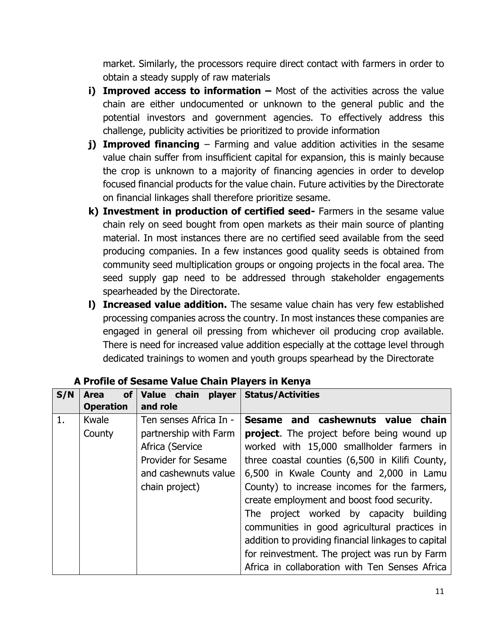market. Similarly, the processors require direct contact with farmers in order to obtain a steady supply of raw materials

- **i) Improved access to information –** Most of the activities across the value chain are either undocumented or unknown to the general public and the potential investors and government agencies. To effectively address this challenge, publicity activities be prioritized to provide information
- **j) Improved financing** Farming and value addition activities in the sesame value chain suffer from insufficient capital for expansion, this is mainly because the crop is unknown to a majority of financing agencies in order to develop focused financial products for the value chain. Future activities by the Directorate on financial linkages shall therefore prioritize sesame.
- **k) Investment in production of certified seed-** Farmers in the sesame value chain rely on seed bought from open markets as their main source of planting material. In most instances there are no certified seed available from the seed producing companies. In a few instances good quality seeds is obtained from community seed multiplication groups or ongoing projects in the focal area. The seed supply gap need to be addressed through stakeholder engagements spearheaded by the Directorate.
- **l) Increased value addition.** The sesame value chain has very few established processing companies across the country. In most instances these companies are engaged in general oil pressing from whichever oil producing crop available. There is need for increased value addition especially at the cottage level through dedicated trainings to women and youth groups spearhead by the Directorate

| S/N | <b>of</b><br><b>Area</b><br><b>Operation</b> | Value chain player<br>and role | <b>Status/Activities</b>                            |
|-----|----------------------------------------------|--------------------------------|-----------------------------------------------------|
| 1.  | Kwale                                        | Ten senses Africa In -         | Sesame and cashewnuts value chain                   |
|     | County                                       | partnership with Farm          | <b>project.</b> The project before being wound up   |
|     |                                              | Africa (Service                | worked with 15,000 smallholder farmers in           |
|     |                                              | <b>Provider for Sesame</b>     | three coastal counties (6,500 in Kilifi County,     |
|     |                                              | and cashewnuts value           | 6,500 in Kwale County and 2,000 in Lamu             |
|     |                                              | chain project)                 | County) to increase incomes for the farmers,        |
|     |                                              |                                | create employment and boost food security.          |
|     |                                              |                                | The project worked by capacity building             |
|     |                                              |                                | communities in good agricultural practices in       |
|     |                                              |                                | addition to providing financial linkages to capital |
|     |                                              |                                | for reinvestment. The project was run by Farm       |
|     |                                              |                                | Africa in collaboration with Ten Senses Africa      |

# **A Profile of Sesame Value Chain Players in Kenya**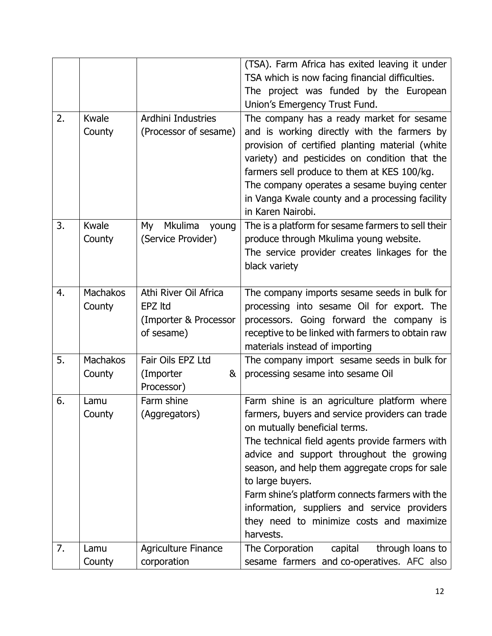|    |                 |                        | (TSA). Farm Africa has exited leaving it under<br>TSA which is now facing financial difficulties. |
|----|-----------------|------------------------|---------------------------------------------------------------------------------------------------|
|    |                 |                        | The project was funded by the European                                                            |
|    |                 |                        | Union's Emergency Trust Fund.                                                                     |
| 2. | Kwale           | Ardhini Industries     | The company has a ready market for sesame                                                         |
|    | County          | (Processor of sesame)  | and is working directly with the farmers by                                                       |
|    |                 |                        | provision of certified planting material (white                                                   |
|    |                 |                        | variety) and pesticides on condition that the<br>farmers sell produce to them at KES 100/kg.      |
|    |                 |                        | The company operates a sesame buying center                                                       |
|    |                 |                        | in Vanga Kwale county and a processing facility                                                   |
|    |                 |                        | in Karen Nairobi.                                                                                 |
| 3. | Kwale           | Mkulima<br>My<br>young | The is a platform for sesame farmers to sell their                                                |
|    | County          | (Service Provider)     | produce through Mkulima young website.                                                            |
|    |                 |                        | The service provider creates linkages for the<br>black variety                                    |
|    |                 |                        |                                                                                                   |
| 4. | <b>Machakos</b> | Athi River Oil Africa  | The company imports sesame seeds in bulk for                                                      |
|    | County          | EPZ Itd                | processing into sesame Oil for export. The                                                        |
|    |                 | (Importer & Processor  | processors. Going forward the company is                                                          |
|    |                 | of sesame)             | receptive to be linked with farmers to obtain raw<br>materials instead of importing               |
| 5. | <b>Machakos</b> | Fair Oils EPZ Ltd      | The company import sesame seeds in bulk for                                                       |
|    | County          | (Importer<br>&         | processing sesame into sesame Oil                                                                 |
|    |                 | Processor)             |                                                                                                   |
| 6. | Lamu            | Farm shine             | Farm shine is an agriculture platform where                                                       |
|    | County          | (Aggregators)          | farmers, buyers and service providers can trade<br>on mutually beneficial terms.                  |
|    |                 |                        | The technical field agents provide farmers with                                                   |
|    |                 |                        | advice and support throughout the growing                                                         |
|    |                 |                        | season, and help them aggregate crops for sale                                                    |
|    |                 |                        | to large buyers.                                                                                  |
|    |                 |                        | Farm shine's platform connects farmers with the                                                   |
|    |                 |                        | information, suppliers and service providers<br>they need to minimize costs and maximize          |
|    |                 |                        | harvests.                                                                                         |
| 7. | Lamu            | Agriculture Finance    | through loans to<br>The Corporation<br>capital                                                    |
|    | County          | corporation            | sesame farmers and co-operatives. AFC also                                                        |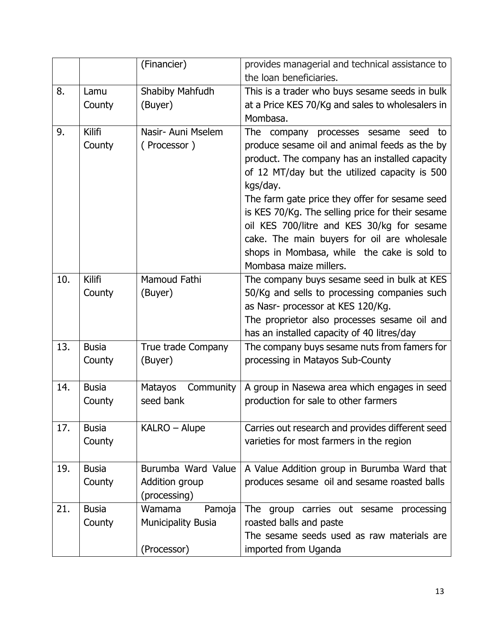|     |                         | (Financier)                                                  | provides managerial and technical assistance to<br>the loan beneficiaries.                                                                                                                                                                                                                                                                                                                              |
|-----|-------------------------|--------------------------------------------------------------|---------------------------------------------------------------------------------------------------------------------------------------------------------------------------------------------------------------------------------------------------------------------------------------------------------------------------------------------------------------------------------------------------------|
| 8.  | Lamu<br>County          | Shabiby Mahfudh<br>(Buyer)                                   | This is a trader who buys sesame seeds in bulk<br>at a Price KES 70/Kg and sales to wholesalers in                                                                                                                                                                                                                                                                                                      |
|     |                         |                                                              | Mombasa.                                                                                                                                                                                                                                                                                                                                                                                                |
| 9.  | <b>Kilifi</b><br>County | Nasir- Auni Mselem<br>(Processor)                            | The company processes sesame seed to<br>produce sesame oil and animal feeds as the by<br>product. The company has an installed capacity<br>of 12 MT/day but the utilized capacity is 500<br>kgs/day.<br>The farm gate price they offer for sesame seed<br>is KES 70/Kg. The selling price for their sesame<br>oil KES 700/litre and KES 30/kg for sesame<br>cake. The main buyers for oil are wholesale |
|     |                         |                                                              | shops in Mombasa, while the cake is sold to<br>Mombasa maize millers.                                                                                                                                                                                                                                                                                                                                   |
| 10. | <b>Kilifi</b><br>County | Mamoud Fathi<br>(Buyer)                                      | The company buys sesame seed in bulk at KES<br>50/Kg and sells to processing companies such<br>as Nasr- processor at KES 120/Kg.<br>The proprietor also processes sesame oil and<br>has an installed capacity of 40 litres/day                                                                                                                                                                          |
| 13. | <b>Busia</b><br>County  | True trade Company<br>(Buyer)                                | The company buys sesame nuts from famers for<br>processing in Matayos Sub-County                                                                                                                                                                                                                                                                                                                        |
| 14. | <b>Busia</b><br>County  | Community<br>Matayos<br>seed bank                            | A group in Nasewa area which engages in seed<br>production for sale to other farmers                                                                                                                                                                                                                                                                                                                    |
| 17. | <b>Busia</b><br>County  | KALRO - Alupe                                                | Carries out research and provides different seed<br>varieties for most farmers in the region                                                                                                                                                                                                                                                                                                            |
| 19. | <b>Busia</b><br>County  | Burumba Ward Value<br>Addition group<br>(processing)         | A Value Addition group in Burumba Ward that<br>produces sesame oil and sesame roasted balls                                                                                                                                                                                                                                                                                                             |
| 21. | <b>Busia</b><br>County  | Wamama<br>Pamoja<br><b>Municipality Busia</b><br>(Processor) | The group carries out sesame<br>processing<br>roasted balls and paste<br>The sesame seeds used as raw materials are<br>imported from Uganda                                                                                                                                                                                                                                                             |